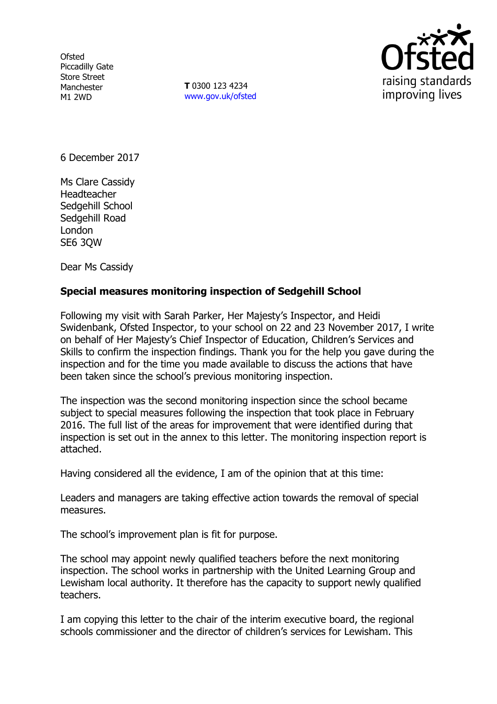**Ofsted** Piccadilly Gate Store Street Manchester M1 2WD

**T** 0300 123 4234 www.gov.uk/ofsted



6 December 2017

Ms Clare Cassidy Headteacher Sedgehill School Sedgehill Road London SE6 3QW

Dear Ms Cassidy

## **Special measures monitoring inspection of Sedgehill School**

Following my visit with Sarah Parker, Her Majesty's Inspector, and Heidi Swidenbank, Ofsted Inspector, to your school on 22 and 23 November 2017, I write on behalf of Her Majesty's Chief Inspector of Education, Children's Services and Skills to confirm the inspection findings. Thank you for the help you gave during the inspection and for the time you made available to discuss the actions that have been taken since the school's previous monitoring inspection.

The inspection was the second monitoring inspection since the school became subject to special measures following the inspection that took place in February 2016. The full list of the areas for improvement that were identified during that inspection is set out in the annex to this letter. The monitoring inspection report is attached.

Having considered all the evidence, I am of the opinion that at this time:

Leaders and managers are taking effective action towards the removal of special measures.

The school's improvement plan is fit for purpose.

The school may appoint newly qualified teachers before the next monitoring inspection. The school works in partnership with the United Learning Group and Lewisham local authority. It therefore has the capacity to support newly qualified teachers.

I am copying this letter to the chair of the interim executive board, the regional schools commissioner and the director of children's services for Lewisham. This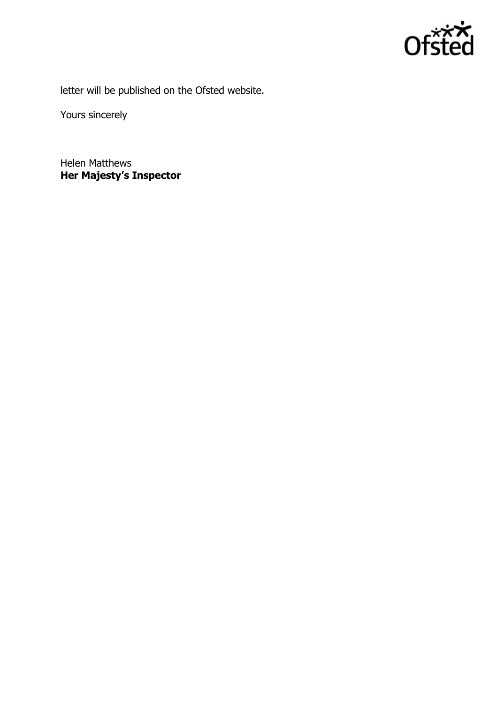

letter will be published on the Ofsted website.

Yours sincerely

Helen Matthews **Her Majesty's Inspector**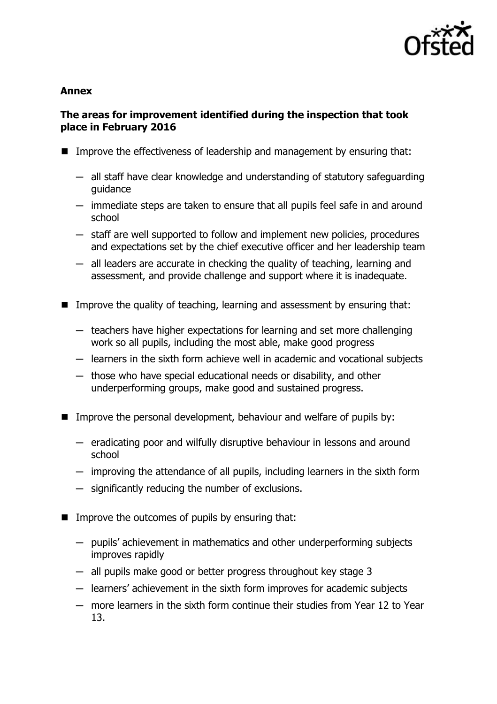

#### **Annex**

# **The areas for improvement identified during the inspection that took place in February 2016**

- **IMPROVE THE EFFECT IVENETS OF LEADER SHOW THE IMPROVE THE EFFECT**: Improve that:
	- $-$  all staff have clear knowledge and understanding of statutory safeguarding guidance
	- $-$  immediate steps are taken to ensure that all pupils feel safe in and around school
	- $-$  staff are well supported to follow and implement new policies, procedures and expectations set by the chief executive officer and her leadership team
	- $-$  all leaders are accurate in checking the quality of teaching, learning and assessment, and provide challenge and support where it is inadequate.
- Improve the quality of teaching, learning and assessment by ensuring that:
	- $-$  teachers have higher expectations for learning and set more challenging work so all pupils, including the most able, make good progress
	- $-$  learners in the sixth form achieve well in academic and vocational subjects
	- $-$  those who have special educational needs or disability, and other underperforming groups, make good and sustained progress.
- **IMPROVE THE PERSONAL DEVELOPMENT, behaviour and welfare of pupils by:** 
	- $-$  eradicating poor and wilfully disruptive behaviour in lessons and around school
	- ─ improving the attendance of all pupils, including learners in the sixth form
	- ─ significantly reducing the number of exclusions.
- $\blacksquare$  Improve the outcomes of pupils by ensuring that:
	- $-$  pupils' achievement in mathematics and other underperforming subjects improves rapidly
	- $-$  all pupils make good or better progress throughout key stage 3
	- ─ learners' achievement in the sixth form improves for academic subjects
	- ─ more learners in the sixth form continue their studies from Year 12 to Year 13.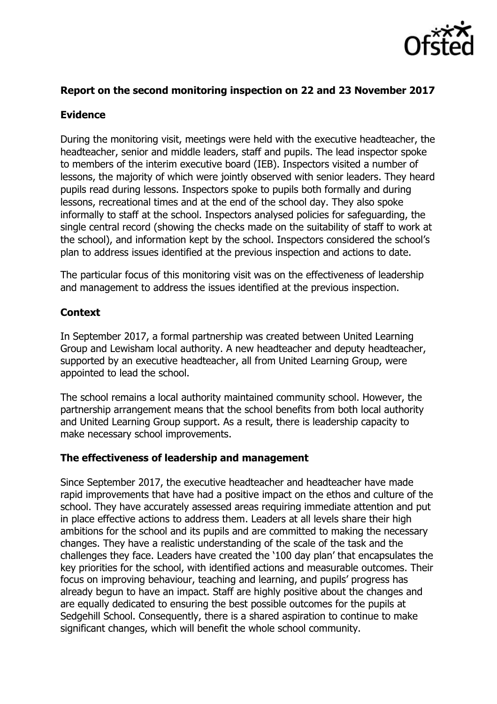

## **Report on the second monitoring inspection on 22 and 23 November 2017**

#### **Evidence**

During the monitoring visit, meetings were held with the executive headteacher, the headteacher, senior and middle leaders, staff and pupils. The lead inspector spoke to members of the interim executive board (IEB). Inspectors visited a number of lessons, the majority of which were jointly observed with senior leaders. They heard pupils read during lessons. Inspectors spoke to pupils both formally and during lessons, recreational times and at the end of the school day. They also spoke informally to staff at the school. Inspectors analysed policies for safeguarding, the single central record (showing the checks made on the suitability of staff to work at the school), and information kept by the school. Inspectors considered the school's plan to address issues identified at the previous inspection and actions to date.

The particular focus of this monitoring visit was on the effectiveness of leadership and management to address the issues identified at the previous inspection.

## **Context**

In September 2017, a formal partnership was created between United Learning Group and Lewisham local authority. A new headteacher and deputy headteacher, supported by an executive headteacher, all from United Learning Group, were appointed to lead the school.

The school remains a local authority maintained community school. However, the partnership arrangement means that the school benefits from both local authority and United Learning Group support. As a result, there is leadership capacity to make necessary school improvements.

## **The effectiveness of leadership and management**

Since September 2017, the executive headteacher and headteacher have made rapid improvements that have had a positive impact on the ethos and culture of the school. They have accurately assessed areas requiring immediate attention and put in place effective actions to address them. Leaders at all levels share their high ambitions for the school and its pupils and are committed to making the necessary changes. They have a realistic understanding of the scale of the task and the challenges they face. Leaders have created the '100 day plan' that encapsulates the key priorities for the school, with identified actions and measurable outcomes. Their focus on improving behaviour, teaching and learning, and pupils' progress has already begun to have an impact. Staff are highly positive about the changes and are equally dedicated to ensuring the best possible outcomes for the pupils at Sedgehill School. Consequently, there is a shared aspiration to continue to make significant changes, which will benefit the whole school community.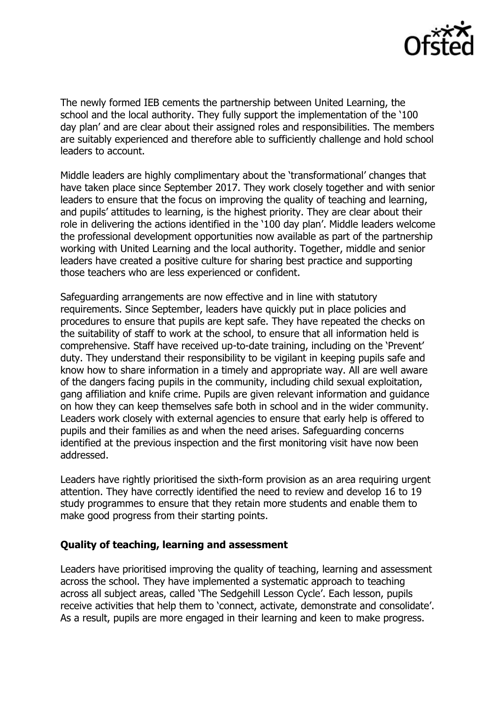

The newly formed IEB cements the partnership between United Learning, the school and the local authority. They fully support the implementation of the '100 day plan' and are clear about their assigned roles and responsibilities. The members are suitably experienced and therefore able to sufficiently challenge and hold school leaders to account.

Middle leaders are highly complimentary about the 'transformational' changes that have taken place since September 2017. They work closely together and with senior leaders to ensure that the focus on improving the quality of teaching and learning, and pupils' attitudes to learning, is the highest priority. They are clear about their role in delivering the actions identified in the '100 day plan'. Middle leaders welcome the professional development opportunities now available as part of the partnership working with United Learning and the local authority. Together, middle and senior leaders have created a positive culture for sharing best practice and supporting those teachers who are less experienced or confident.

Safeguarding arrangements are now effective and in line with statutory requirements. Since September, leaders have quickly put in place policies and procedures to ensure that pupils are kept safe. They have repeated the checks on the suitability of staff to work at the school, to ensure that all information held is comprehensive. Staff have received up-to-date training, including on the 'Prevent' duty. They understand their responsibility to be vigilant in keeping pupils safe and know how to share information in a timely and appropriate way. All are well aware of the dangers facing pupils in the community, including child sexual exploitation, gang affiliation and knife crime. Pupils are given relevant information and guidance on how they can keep themselves safe both in school and in the wider community. Leaders work closely with external agencies to ensure that early help is offered to pupils and their families as and when the need arises. Safeguarding concerns identified at the previous inspection and the first monitoring visit have now been addressed.

Leaders have rightly prioritised the sixth-form provision as an area requiring urgent attention. They have correctly identified the need to review and develop 16 to 19 study programmes to ensure that they retain more students and enable them to make good progress from their starting points.

#### **Quality of teaching, learning and assessment**

Leaders have prioritised improving the quality of teaching, learning and assessment across the school. They have implemented a systematic approach to teaching across all subject areas, called 'The Sedgehill Lesson Cycle'. Each lesson, pupils receive activities that help them to 'connect, activate, demonstrate and consolidate'. As a result, pupils are more engaged in their learning and keen to make progress.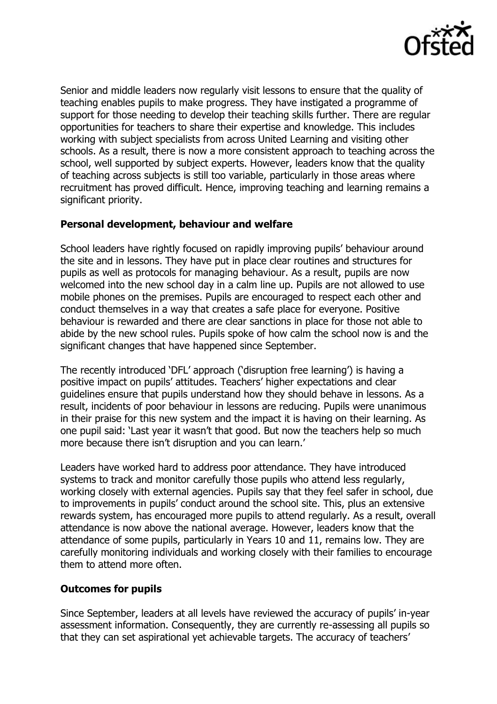

Senior and middle leaders now regularly visit lessons to ensure that the quality of teaching enables pupils to make progress. They have instigated a programme of support for those needing to develop their teaching skills further. There are regular opportunities for teachers to share their expertise and knowledge. This includes working with subject specialists from across United Learning and visiting other schools. As a result, there is now a more consistent approach to teaching across the school, well supported by subject experts. However, leaders know that the quality of teaching across subjects is still too variable, particularly in those areas where recruitment has proved difficult. Hence, improving teaching and learning remains a significant priority.

## **Personal development, behaviour and welfare**

School leaders have rightly focused on rapidly improving pupils' behaviour around the site and in lessons. They have put in place clear routines and structures for pupils as well as protocols for managing behaviour. As a result, pupils are now welcomed into the new school day in a calm line up. Pupils are not allowed to use mobile phones on the premises. Pupils are encouraged to respect each other and conduct themselves in a way that creates a safe place for everyone. Positive behaviour is rewarded and there are clear sanctions in place for those not able to abide by the new school rules. Pupils spoke of how calm the school now is and the significant changes that have happened since September.

The recently introduced 'DFL' approach ('disruption free learning') is having a positive impact on pupils' attitudes. Teachers' higher expectations and clear guidelines ensure that pupils understand how they should behave in lessons. As a result, incidents of poor behaviour in lessons are reducing. Pupils were unanimous in their praise for this new system and the impact it is having on their learning. As one pupil said: 'Last year it wasn't that good. But now the teachers help so much more because there isn't disruption and you can learn.'

Leaders have worked hard to address poor attendance. They have introduced systems to track and monitor carefully those pupils who attend less regularly, working closely with external agencies. Pupils say that they feel safer in school, due to improvements in pupils' conduct around the school site. This, plus an extensive rewards system, has encouraged more pupils to attend regularly. As a result, overall attendance is now above the national average. However, leaders know that the attendance of some pupils, particularly in Years 10 and 11, remains low. They are carefully monitoring individuals and working closely with their families to encourage them to attend more often.

## **Outcomes for pupils**

Since September, leaders at all levels have reviewed the accuracy of pupils' in-year assessment information. Consequently, they are currently re-assessing all pupils so that they can set aspirational yet achievable targets. The accuracy of teachers'